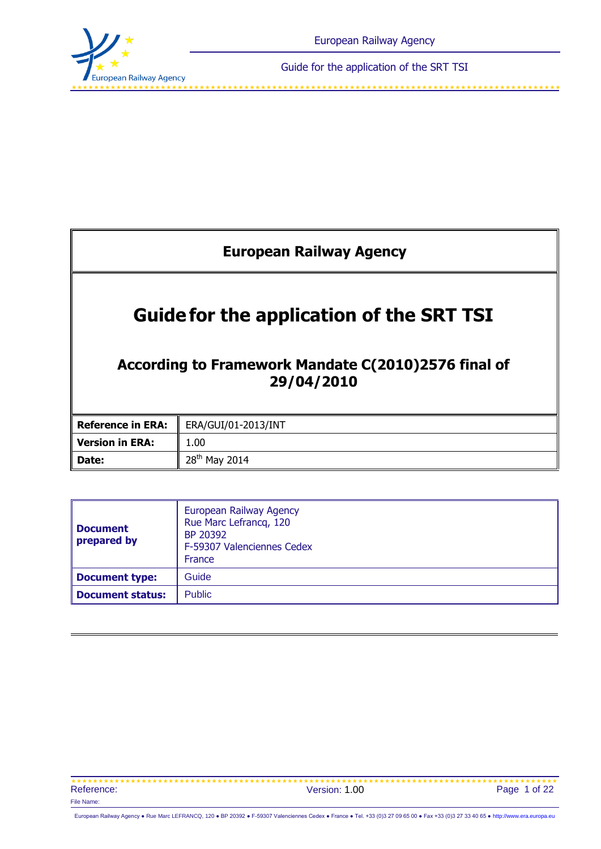

<span id="page-0-0"></span>

| <b>European Railway Agency</b>                                                                                      |                              |  |
|---------------------------------------------------------------------------------------------------------------------|------------------------------|--|
| <b>Guidefor the application of the SRT TSI</b><br>According to Framework Mandate C(2010)2576 final of<br>29/04/2010 |                              |  |
| <b>Reference in ERA:</b>                                                                                            | ERA/GUI/01-2013/INT          |  |
| <b>Version in ERA:</b>                                                                                              | 1.00                         |  |
| Date:                                                                                                               | 28 <sup>th</sup><br>May 2014 |  |

| <b>Document</b><br>prepared by | European Railway Agency<br>Rue Marc Lefrancq, 120<br>BP 20392<br>F-59307 Valenciennes Cedex<br>France |
|--------------------------------|-------------------------------------------------------------------------------------------------------|
| <b>Document type:</b>          | Guide                                                                                                 |
| <b>Document status:</b>        | <b>Public</b>                                                                                         |

| Reference: | Version: 1.00 | Page 1 of 22 |
|------------|---------------|--------------|
| File Name: |               |              |

European Railway Agency ● Rue Marc LEFRANCQ, 120 ● BP 20392 ● F-59307 Valenciennes Cedex ● France ● Tel. +33 (0)3 27 09 65 00 ● Fax +33 (0)3 27 33 40 65 ● [http://www.era.europa.eu](http://www.era.europa.eu/)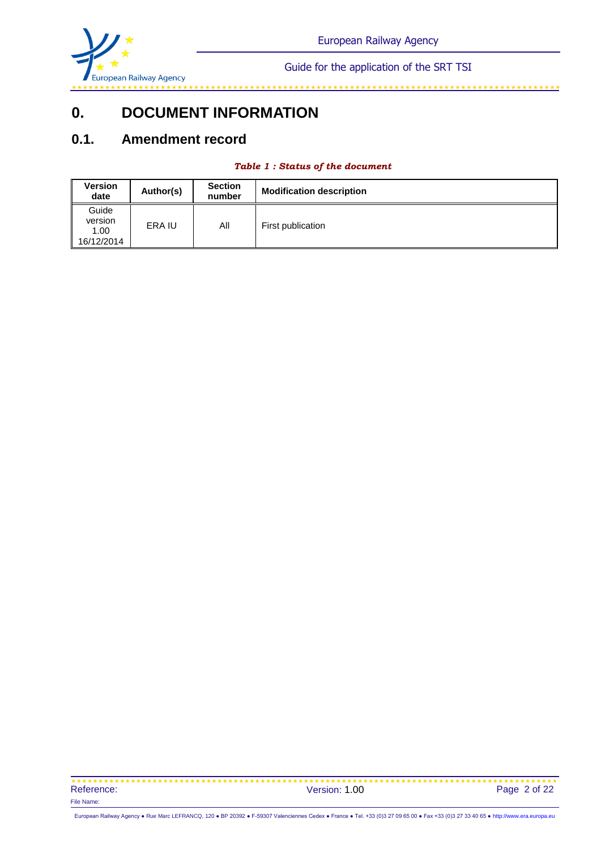

#### 

# **0. DOCUMENT INFORMATION**

## **0.1. Amendment record**

#### *Table 1 : Status of the document*

| <b>Version</b><br>date                 | Author(s) | <b>Section</b><br>number | <b>Modification description</b> |
|----------------------------------------|-----------|--------------------------|---------------------------------|
| Guide<br>version<br>1.00<br>16/12/2014 | ERA IU    | All                      | First publication               |

 Reference: Version: 1.00 File Name: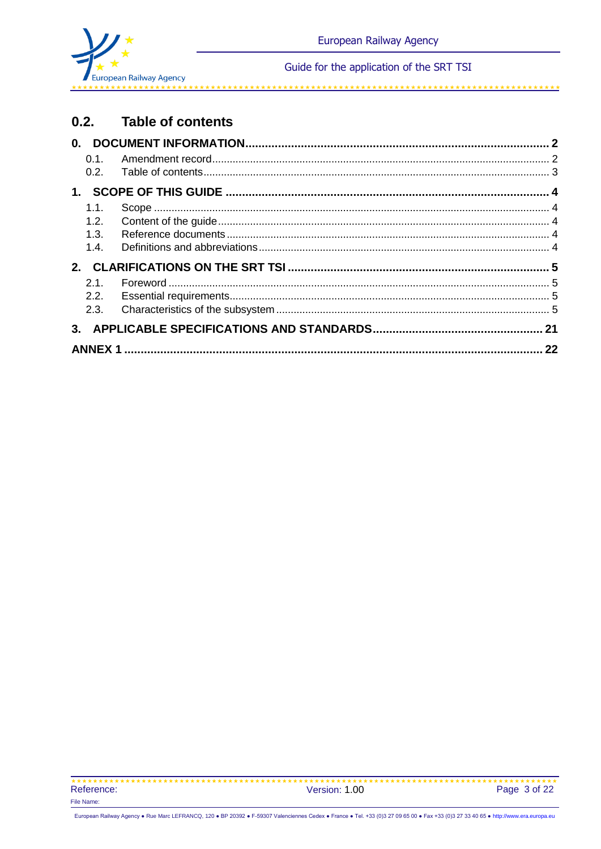

#### $0.2.$ **Table of contents**

| 0.1. |    |
|------|----|
|      |    |
|      |    |
| 1.1. |    |
| 1.2. |    |
| 1.3. |    |
| 1.4. |    |
|      |    |
| 21   |    |
| 2.2. |    |
| 2.3. |    |
|      |    |
|      | 22 |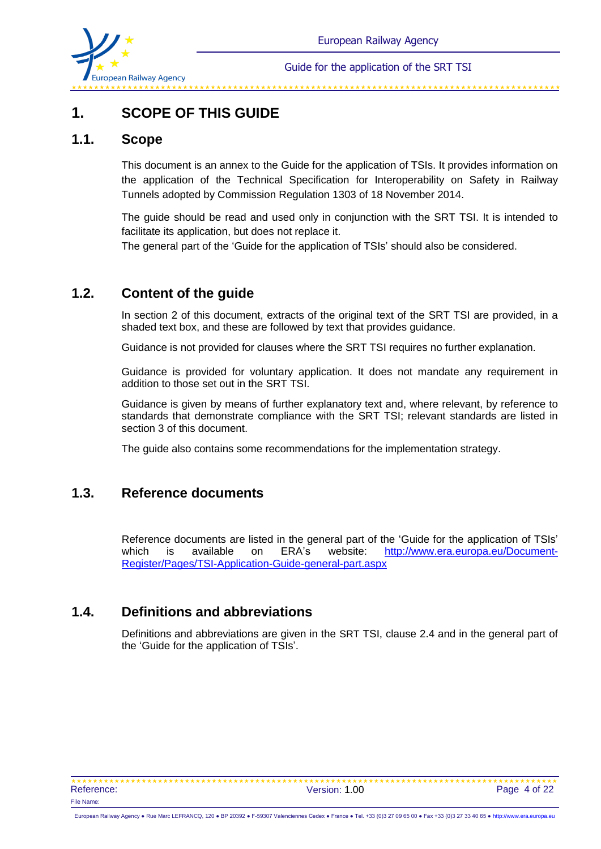

# **1. SCOPE OF THIS GUIDE**

## **1.1. Scope**

This document is an annex to the Guide for the application of TSIs. It provides information on the application of the Technical Specification for Interoperability on Safety in Railway Tunnels adopted by Commission Regulation 1303 of 18 November 2014.

The guide should be read and used only in conjunction with the SRT TSI. It is intended to facilitate its application, but does not replace it.

The general part of the 'Guide for the application of TSIs' should also be considered.

## **1.2. Content of the guide**

In section 2 of this document, extracts of the original text of the SRT TSI are provided, in a shaded text box, and these are followed by text that provides guidance.

Guidance is not provided for clauses where the SRT TSI requires no further explanation.

Guidance is provided for voluntary application. It does not mandate any requirement in addition to those set out in the SRT TSI.

Guidance is given by means of further explanatory text and, where relevant, by reference to standards that demonstrate compliance with the SRT TSI; relevant standards are listed in section 3 of this document.

The guide also contains some recommendations for the implementation strategy.

## **1.3. Reference documents**

Reference documents are listed in the general part of the 'Guide for the application of TSIs' which is available on ERA's website: [http://www.era.europa.eu/Document-](http://www.era.europa.eu/Document-Register/Pages/TSI-Application-Guide-general-part.aspx)[Register/Pages/TSI-Application-Guide-general-part.aspx](http://www.era.europa.eu/Document-Register/Pages/TSI-Application-Guide-general-part.aspx)

## **1.4. Definitions and abbreviations**

Definitions and abbreviations are given in the SRT TSI, clause 2.4 and in the general part of the 'Guide for the application of TSIs'.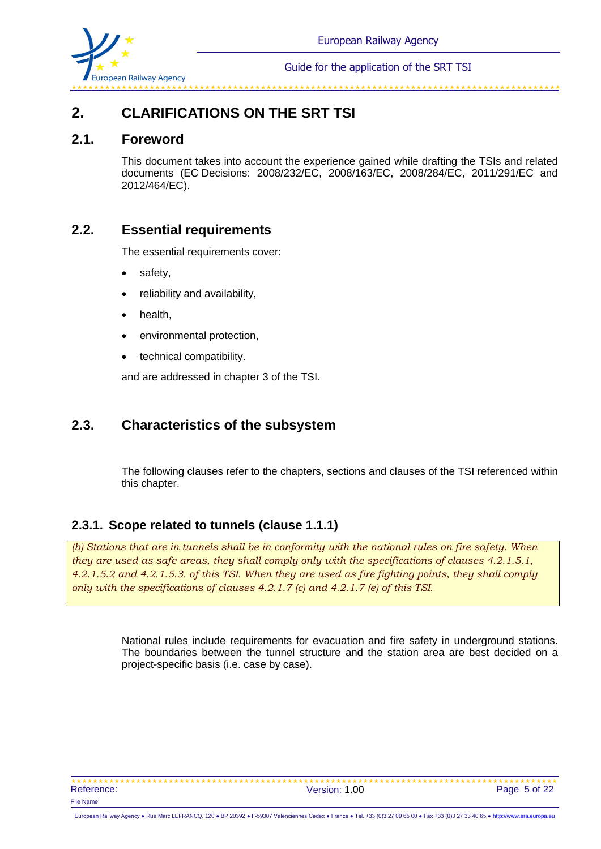

# **2. CLARIFICATIONS ON THE SRT TSI**

## **2.1. Foreword**

This document takes into account the experience gained while drafting the TSIs and related documents (EC Decisions: 2008/232/EC, 2008/163/EC, 2008/284/EC, 2011/291/EC and 2012/464/EC).

## **2.2. Essential requirements**

The essential requirements cover:

- safety,
- reliability and availability,
- health,
- environmental protection,
- technical compatibility.

and are addressed in chapter 3 of the TSI.

## **2.3. Characteristics of the subsystem**

The following clauses refer to the chapters, sections and clauses of the TSI referenced within this chapter.

## **2.3.1. Scope related to tunnels (clause 1.1.1)**

*(b) Stations that are in tunnels shall be in conformity with the national rules on fire safety. When they are used as safe areas, they shall comply only with the specifications of clauses 4.2.1.5.1, 4.2.1.5.2 and 4.2.1.5.3. of this TSI. When they are used as fire fighting points, they shall comply only with the specifications of clauses 4.2.1.7 (c) and 4.2.1.7 (e) of this TSI.*

> National rules include requirements for evacuation and fire safety in underground stations. The boundaries between the tunnel structure and the station area are best decided on a project-specific basis (i.e. case by case).

\*\*\*\*\*\*\*\*\*\*\*\*\*\*\*\*\*\*\*\*\*\*\*\*\*\*\*\*\*\*\*\*\* Reference: Version: 1.00 Page 5 of 22 File Name: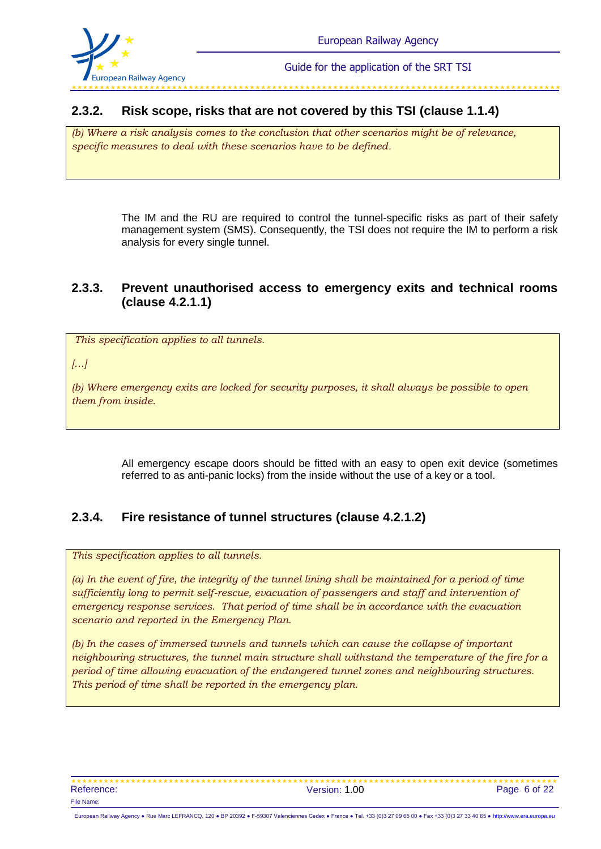

## **2.3.2. Risk scope, risks that are not covered by this TSI (clause 1.1.4)**

*(b) Where a risk analysis comes to the conclusion that other scenarios might be of relevance, specific measures to deal with these scenarios have to be defined.*

> The IM and the RU are required to control the tunnel-specific risks as part of their safety management system (SMS). Consequently, the TSI does not require the IM to perform a risk analysis for every single tunnel.

## **2.3.3. Prevent unauthorised access to emergency exits and technical rooms (clause 4.2.1.1)**

*This specification applies to all tunnels.*

*[…]*

*(b) Where emergency exits are locked for security purposes, it shall always be possible to open them from inside.*

> All emergency escape doors should be fitted with an easy to open exit device (sometimes referred to as anti-panic locks) from the inside without the use of a key or a tool.

## **2.3.4. Fire resistance of tunnel structures (clause 4.2.1.2)**

*This specification applies to all tunnels.*

*(a) In the event of fire, the integrity of the tunnel lining shall be maintained for a period of time sufficiently long to permit self-rescue, evacuation of passengers and staff and intervention of emergency response services. That period of time shall be in accordance with the evacuation scenario and reported in the Emergency Plan.* 

*(b) In the cases of immersed tunnels and tunnels which can cause the collapse of important neighbouring structures, the tunnel main structure shall withstand the temperature of the fire for a period of time allowing evacuation of the endangered tunnel zones and neighbouring structures. This period of time shall be reported in the emergency plan.*

\*\*\*\*\*\*\*\*\*\*\*\*\*\*\*\*\*\*\*\*\*\*\*\*\*\*\*\*\*\*\*\*\* Reference: Version: 1.00 Page 6 of 22 File Name: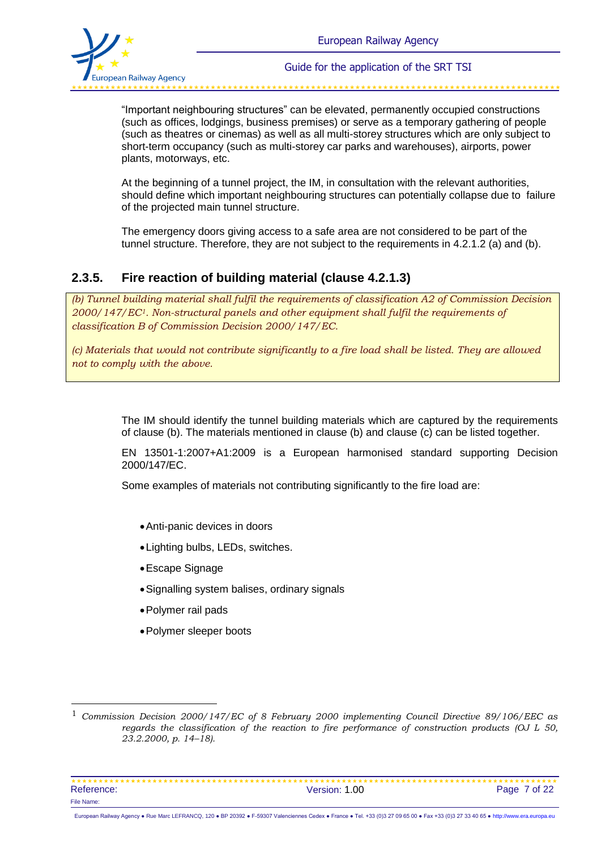

"Important neighbouring structures" can be elevated, permanently occupied constructions (such as offices, lodgings, business premises) or serve as a temporary gathering of people (such as theatres or cinemas) as well as all multi-storey structures which are only subject to short-term occupancy (such as multi-storey car parks and warehouses), airports, power plants, motorways, etc.

At the beginning of a tunnel project, the IM, in consultation with the relevant authorities, should define which important neighbouring structures can potentially collapse due to failure of the projected main tunnel structure.

The emergency doors giving access to a safe area are not considered to be part of the tunnel structure. Therefore, they are not subject to the requirements in 4.2.1.2 (a) and (b).

## **2.3.5. Fire reaction of building material (clause 4.2.1.3)**

*(b) Tunnel building material shall fulfil the requirements of classification A2 of Commission Decision 2000/147/EC1. Non-structural panels and other equipment shall fulfil the requirements of classification B of Commission Decision 2000/147/EC.* 

*(c) Materials that would not contribute significantly to a fire load shall be listed. They are allowed not to comply with the above.*

> The IM should identify the tunnel building materials which are captured by the requirements of clause (b). The materials mentioned in clause (b) and clause (c) can be listed together.

> EN 13501-1:2007+A1:2009 is a European harmonised standard supporting Decision 2000/147/EC.

Some examples of materials not contributing significantly to the fire load are:

- Anti-panic devices in doors
- Lighting bulbs, LEDs, switches.
- Escape Signage
- Signalling system balises, ordinary signals
- Polymer rail pads

l

Polymer sleeper boots

<sup>1</sup> *Commission Decision 2000/147/EC of 8 February 2000 implementing Council Directive 89/106/EEC as regards the classification of the reaction to fire performance of construction products (OJ L 50, 23.2.2000, p. 14–18).*

 Reference: Case 1.00 Page 7 of 22 File Name: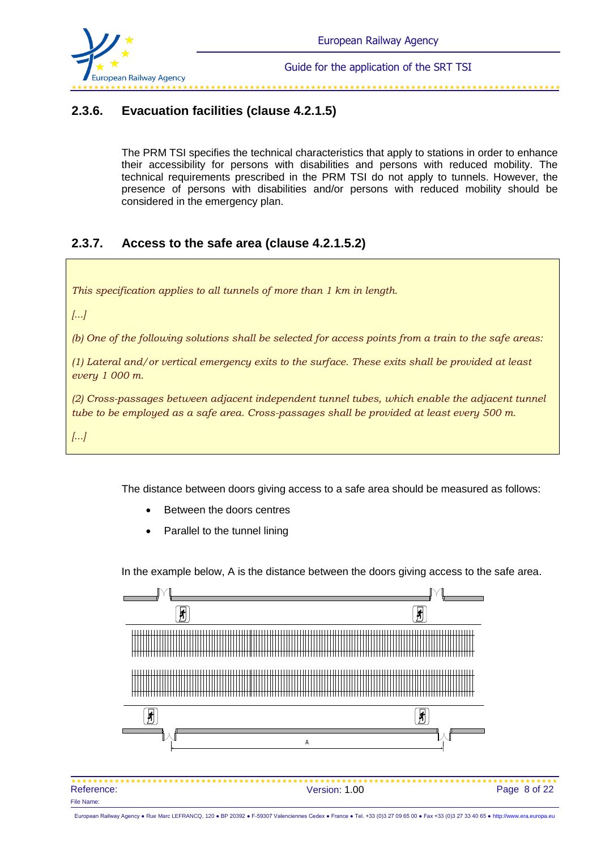

## **2.3.6. Evacuation facilities (clause 4.2.1.5)**

The PRM TSI specifies the technical characteristics that apply to stations in order to enhance their accessibility for persons with disabilities and persons with reduced mobility. The technical requirements prescribed in the PRM TSI do not apply to tunnels. However, the presence of persons with disabilities and/or persons with reduced mobility should be considered in the emergency plan.

## **2.3.7. Access to the safe area (clause 4.2.1.5.2)**

*This specification applies to all tunnels of more than 1 km in length.*

*[...]*

*(b) One of the following solutions shall be selected for access points from a train to the safe areas:*

*(1) Lateral and/or vertical emergency exits to the surface. These exits shall be provided at least every 1 000 m.*

*(2) Cross-passages between adjacent independent tunnel tubes, which enable the adjacent tunnel tube to be employed as a safe area. Cross-passages shall be provided at least every 500 m.*

*[...]*

The distance between doors giving access to a safe area should be measured as follows:

- Between the doors centres
- Parallel to the tunnel lining

In the example below, A is the distance between the doors giving access to the safe area.

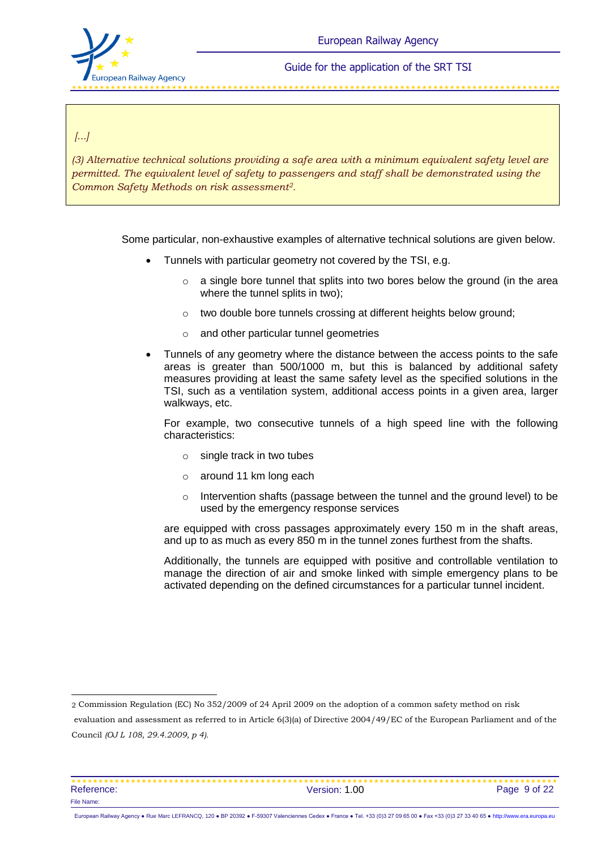

وأنبو تقابله بالأنبو بالأنبو بالأنبو بالأنبو بالأنبو بالأنبو بالأنبو بالأنبو بالأنبو بالأنبو بالأنبو بالأنبو بالأنبو بالأنبو بالأنبو بالأنبو

#### *[...]*

l

*(3) Alternative technical solutions providing a safe area with a minimum equivalent safety level are permitted. The equivalent level of safety to passengers and staff shall be demonstrated using the Common Safety Methods on risk assessment2.*

Some particular, non-exhaustive examples of alternative technical solutions are given below.

- Tunnels with particular geometry not covered by the TSI, e.g.
	- $\circ$  a single bore tunnel that splits into two bores below the ground (in the area where the tunnel splits in two):
	- o two double bore tunnels crossing at different heights below ground;
	- o and other particular tunnel geometries
- Tunnels of any geometry where the distance between the access points to the safe areas is greater than 500/1000 m, but this is balanced by additional safety measures providing at least the same safety level as the specified solutions in the TSI, such as a ventilation system, additional access points in a given area, larger walkways, etc.

For example, two consecutive tunnels of a high speed line with the following characteristics:

- o single track in two tubes
- o around 11 km long each
- $\circ$  Intervention shafts (passage between the tunnel and the ground level) to be used by the emergency response services

are equipped with cross passages approximately every 150 m in the shaft areas, and up to as much as every 850 m in the tunnel zones furthest from the shafts.

Additionally, the tunnels are equipped with positive and controllable ventilation to manage the direction of air and smoke linked with simple emergency plans to be activated depending on the defined circumstances for a particular tunnel incident.

evaluation and assessment as referred to in Article 6(3)(a) of Directive 2004/49/EC of the European Parliament and of the Council *(OJ L 108, 29.4.2009, p 4).*

| Reference: | Version: 1.00 | Page 9 of 22 |
|------------|---------------|--------------|
| File Name: |               |              |

<sup>2</sup> Commission Regulation (EC) No 352/2009 of 24 April 2009 on the adoption of a common safety method on risk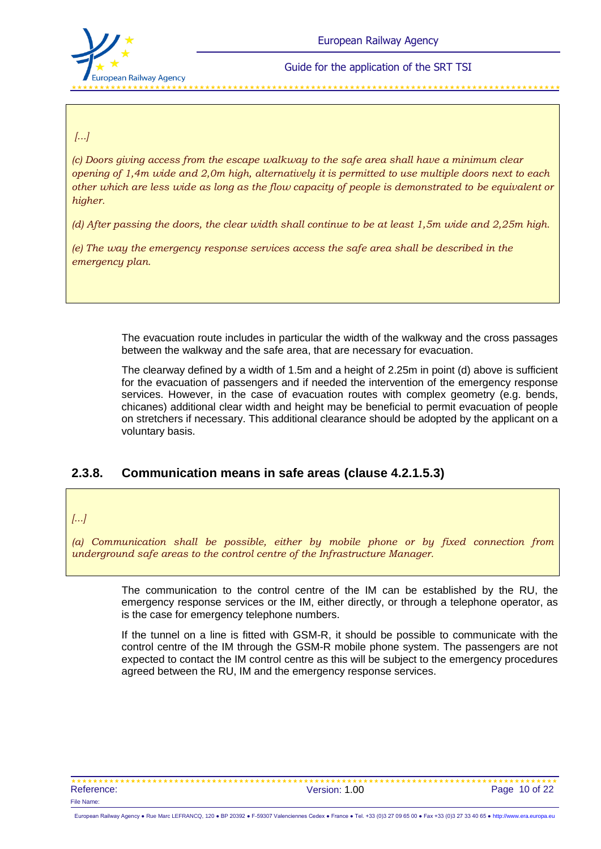

فأرجلنا والمراجل والمراجل والمراجل والراجل والراجل والمراجل والراجل والراجل والراجل والراجل والراجل والراجل والراجل والراجل

*[...]*

*(c) Doors giving access from the escape walkway to the safe area shall have a minimum clear opening of 1,4m wide and 2,0m high, alternatively it is permitted to use multiple doors next to each other which are less wide as long as the flow capacity of people is demonstrated to be equivalent or higher.* 

*(d) After passing the doors, the clear width shall continue to be at least 1,5m wide and 2,25m high.* 

*(e) The way the emergency response services access the safe area shall be described in the emergency plan.* 

> The evacuation route includes in particular the width of the walkway and the cross passages between the walkway and the safe area, that are necessary for evacuation.

> The clearway defined by a width of 1.5m and a height of 2.25m in point (d) above is sufficient for the evacuation of passengers and if needed the intervention of the emergency response services. However, in the case of evacuation routes with complex geometry (e.g. bends, chicanes) additional clear width and height may be beneficial to permit evacuation of people on stretchers if necessary. This additional clearance should be adopted by the applicant on a voluntary basis.

## **2.3.8. Communication means in safe areas (clause 4.2.1.5.3)**

*[...]*

*(a) Communication shall be possible, either by mobile phone or by fixed connection from underground safe areas to the control centre of the Infrastructure Manager.*

> The communication to the control centre of the IM can be established by the RU, the emergency response services or the IM, either directly, or through a [telephone operator,](http://en.wikipedia.org/wiki/Switchboard_operator) as is the case for emergency telephone numbers.

> If the tunnel on a line is fitted with GSM-R, it should be possible to communicate with the control centre of the IM through the GSM-R mobile phone system. The passengers are not expected to contact the IM control centre as this will be subject to the emergency procedures agreed between the RU, IM and the emergency response services.

 Reference: The Contract of the Version: 1.00 Page 10 of 22 File Name: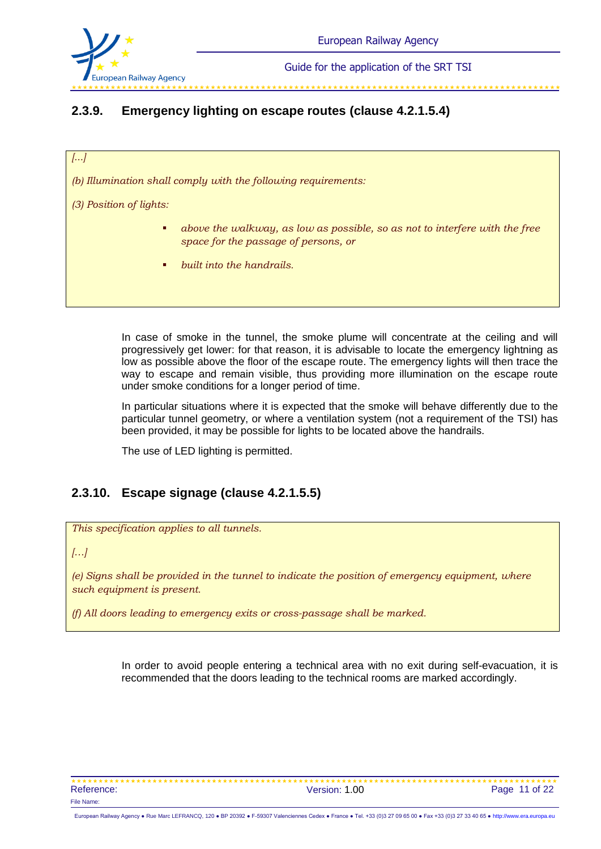

# **2.3.9. Emergency lighting on escape routes (clause 4.2.1.5.4)**

*[...]*

*(b) Illumination shall comply with the following requirements:*

*(3) Position of lights:* 

- *above the walkway, as low as possible, so as not to interfere with the free space for the passage of persons, or*
- *built into the handrails.*

In case of smoke in the tunnel, the smoke plume will concentrate at the ceiling and will progressively get lower: for that reason, it is advisable to locate the emergency lightning as low as possible above the floor of the escape route. The emergency lights will then trace the way to escape and remain visible, thus providing more illumination on the escape route under smoke conditions for a longer period of time.

In particular situations where it is expected that the smoke will behave differently due to the particular tunnel geometry, or where a ventilation system (not a requirement of the TSI) has been provided, it may be possible for lights to be located above the handrails.

The use of LED lighting is permitted.

## **2.3.10. Escape signage (clause 4.2.1.5.5)**

*This specification applies to all tunnels.*

#### *[…]*

*(e) Signs shall be provided in the tunnel to indicate the position of emergency equipment, where such equipment is present.*

*(f) All doors leading to emergency exits or cross-passage shall be marked.*

In order to avoid people entering a technical area with no exit during self-evacuation, it is recommended that the doors leading to the technical rooms are marked accordingly.

\*\*\*\*\*\*\*\*\*\*\*\*\*\*\*\*\*\*\*\*\*\*\*\*\*\*\*\*\*\*\*\*\* Reference: The Contract of the Version: 1.00 Page 11 of 22 File Name: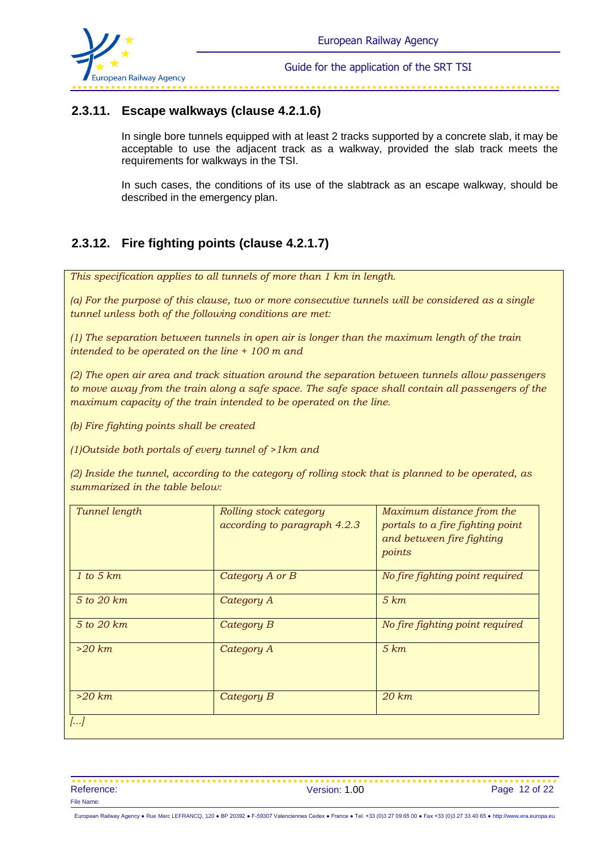

## **2.3.11. Escape walkways (clause 4.2.1.6)**

In single bore tunnels equipped with at least 2 tracks supported by a concrete slab, it may be acceptable to use the adjacent track as a walkway, provided the slab track meets the requirements for walkways in the TSI.

In such cases, the conditions of its use of the slabtrack as an escape walkway, should be described in the emergency plan.

## **2.3.12. Fire fighting points (clause 4.2.1.7)**

*This specification applies to all tunnels of more than 1 km in length.*

*(a) For the purpose of this clause, two or more consecutive tunnels will be considered as a single tunnel unless both of the following conditions are met:*

*(1) The separation between tunnels in open air is longer than the maximum length of the train intended to be operated on the line + 100 m and*

*(2) The open air area and track situation around the separation between tunnels allow passengers to move away from the train along a safe space. The safe space shall contain all passengers of the maximum capacity of the train intended to be operated on the line.* 

*(b) Fire fighting points shall be created*

*(1)Outside both portals of every tunnel of >1km and*

*(2) Inside the tunnel, according to the category of rolling stock that is planned to be operated, as summarized in the table below:*

| Tunnel length | Rolling stock category<br>according to paragraph 4.2.3 | Maximum distance from the<br>portals to a fire fighting point<br>and between fire fighting<br>points |
|---------------|--------------------------------------------------------|------------------------------------------------------------------------------------------------------|
| 1 to 5 km     | Category A or B                                        | No fire fighting point required                                                                      |
| 5 to 20 km    | Category A                                             | 5 km                                                                                                 |
| 5 to 20 km    | Category B                                             | No fire fighting point required                                                                      |
| $>20$ km      | Category A                                             | 5 km                                                                                                 |
| $>20$ km      | Category B                                             | $20 \ km$                                                                                            |
| []            |                                                        |                                                                                                      |

 Reference: Case of the Contract of the Version: 1.00 Page 12 of 22 Page 12 of 22 File Name: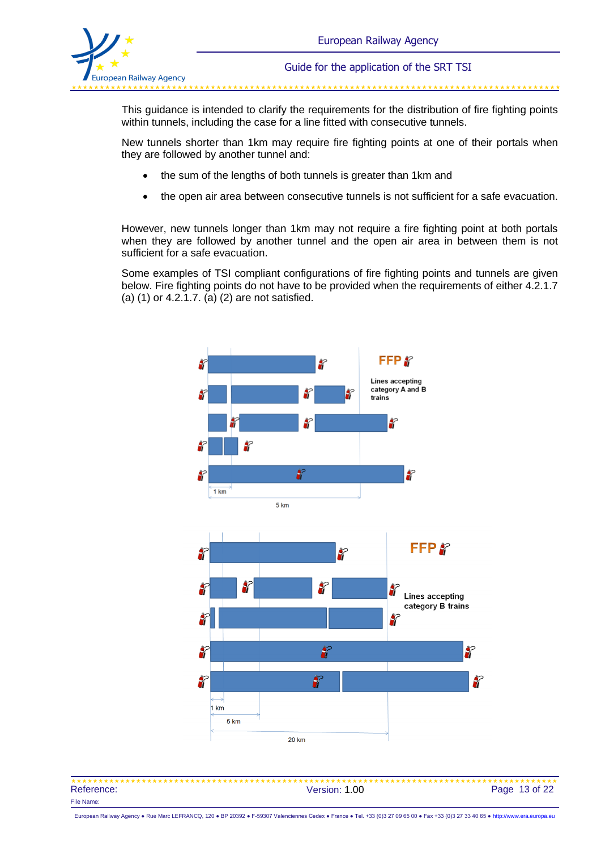

والمداول والمداول والمداول والمداول والمداول والمداول والمداول والمداول والمداول والمداول والمداول والمداول والمداول

This guidance is intended to clarify the requirements for the distribution of fire fighting points within tunnels, including the case for a line fitted with consecutive tunnels.

New tunnels shorter than 1km may require fire fighting points at one of their portals when they are followed by another tunnel and:

- the sum of the lengths of both tunnels is greater than 1km and
- the open air area between consecutive tunnels is not sufficient for a safe evacuation.

However, new tunnels longer than 1km may not require a fire fighting point at both portals when they are followed by another tunnel and the open air area in between them is not sufficient for a safe evacuation.

Some examples of TSI compliant configurations of fire fighting points and tunnels are given below. Fire fighting points do not have to be provided when the requirements of either 4.2.1.7 (a) (1) or 4.2.1.7. (a) (2) are not satisfied.



| Reference: | Version: 1.00 | Page 13 of 22 |
|------------|---------------|---------------|
| File Name: |               |               |

European Railway Agency ● Rue Marc LEFRANCQ, 120 ● BP 20392 ● F-59307 Valenciennes Cedex ● France ● Tel. +33 (0)3 27 09 65 00 ● Fax +33 (0)3 27 33 40 65 ● [http://www.era.europa.eu](http://www.era.europa.eu/)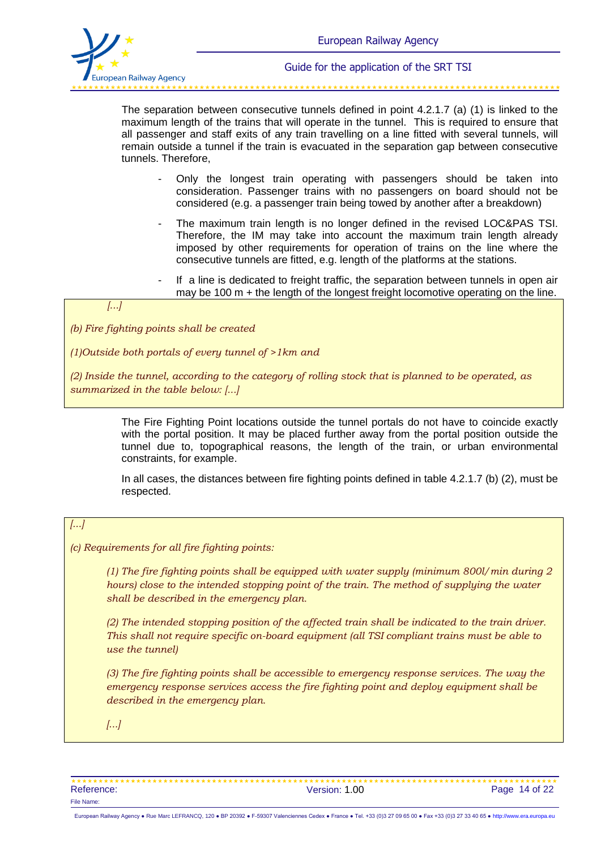

The separation between consecutive tunnels defined in point 4.2.1.7 (a) (1) is linked to the maximum length of the trains that will operate in the tunnel. This is required to ensure that all passenger and staff exits of any train travelling on a line fitted with several tunnels, will remain outside a tunnel if the train is evacuated in the separation gap between consecutive tunnels. Therefore,

- Only the longest train operating with passengers should be taken into consideration. Passenger trains with no passengers on board should not be considered (e.g. a passenger train being towed by another after a breakdown)
- The maximum train length is no longer defined in the revised LOC&PAS TSI. Therefore, the IM may take into account the maximum train length already imposed by other requirements for operation of trains on the line where the consecutive tunnels are fitted, e.g. length of the platforms at the stations.
- If a line is dedicated to freight traffic, the separation between tunnels in open air may be 100 m + the length of the longest freight locomotive operating on the line.

#### *[...]*

*(b) Fire fighting points shall be created*

*(1)Outside both portals of every tunnel of >1km and*

*(2) Inside the tunnel, according to the category of rolling stock that is planned to be operated, as summarized in the table below: [...]*

> The Fire Fighting Point locations outside the tunnel portals do not have to coincide exactly with the portal position. It may be placed further away from the portal position outside the tunnel due to, topographical reasons, the length of the train, or urban environmental constraints, for example.

> In all cases, the distances between fire fighting points defined in table 4.2.1.7 (b) (2), must be respected.

#### *[...]*

#### *(c) Requirements for all fire fighting points:*

*(1) The fire fighting points shall be equipped with water supply (minimum 800l/min during 2 hours) close to the intended stopping point of the train. The method of supplying the water shall be described in the emergency plan.*

*(2) The intended stopping position of the affected train shall be indicated to the train driver. This shall not require specific on-board equipment (all TSI compliant trains must be able to use the tunnel)*

*(3) The fire fighting points shall be accessible to emergency response services. The way the emergency response services access the fire fighting point and deploy equipment shall be described in the emergency plan.*

*[...]*

| Reference: | Version: 1.00 | Page 14 of 22 |
|------------|---------------|---------------|
| File Name: |               |               |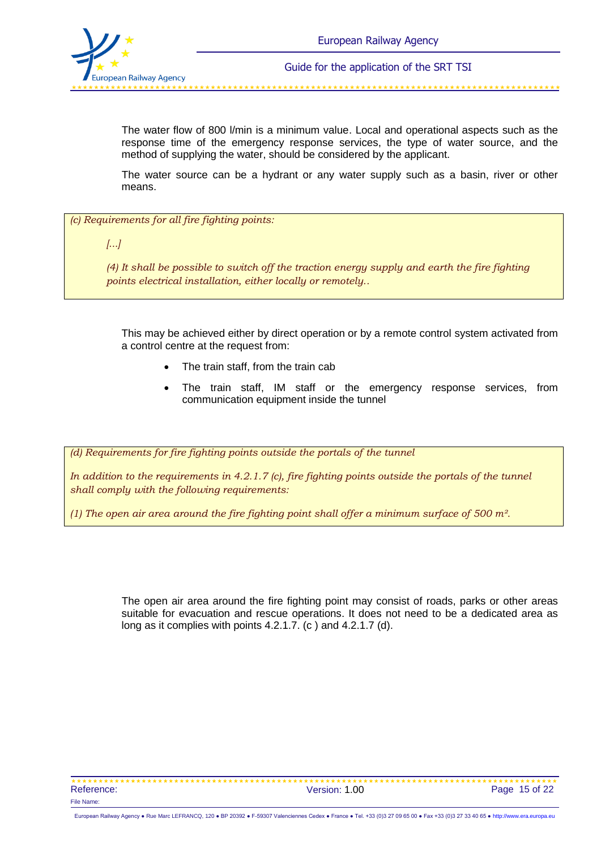

The water flow of 800 l/min is a minimum value. Local and operational aspects such as the response time of the emergency response services, the type of water source, and the method of supplying the water, should be considered by the applicant.

The water source can be a hydrant or any water supply such as a basin, river or other means.

*(c) Requirements for all fire fighting points:*

*[...]*

*(4) It shall be possible to switch off the traction energy supply and earth the fire fighting points electrical installation, either locally or remotely..*

This may be achieved either by direct operation or by a remote control system activated from a control centre at the request from:

- The train staff, from the train cab
- The train staff, IM staff or the emergency response services, from communication equipment inside the tunnel

*(d) Requirements for fire fighting points outside the portals of the tunnel*

*In addition to the requirements in 4.2.1.7 (c), fire fighting points outside the portals of the tunnel shall comply with the following requirements:*

*(1) The open air area around the fire fighting point shall offer a minimum surface of 500 m².*

The open air area around the fire fighting point may consist of roads, parks or other areas suitable for evacuation and rescue operations. It does not need to be a dedicated area as long as it complies with points 4.2.1.7. (c) and 4.2.1.7 (d).

 Reference: Version: 1.00 Page 15 of 22 File Name:

European Railway Agency ● Rue Marc LEFRANCQ, 120 ● BP 20392 ● F-59307 Valenciennes Cedex ● France ● Tel. +33 (0)3 27 09 65 00 ● Fax +33 (0)3 27 33 40 65 ● [http://www.era.europa.eu](http://www.era.europa.eu/)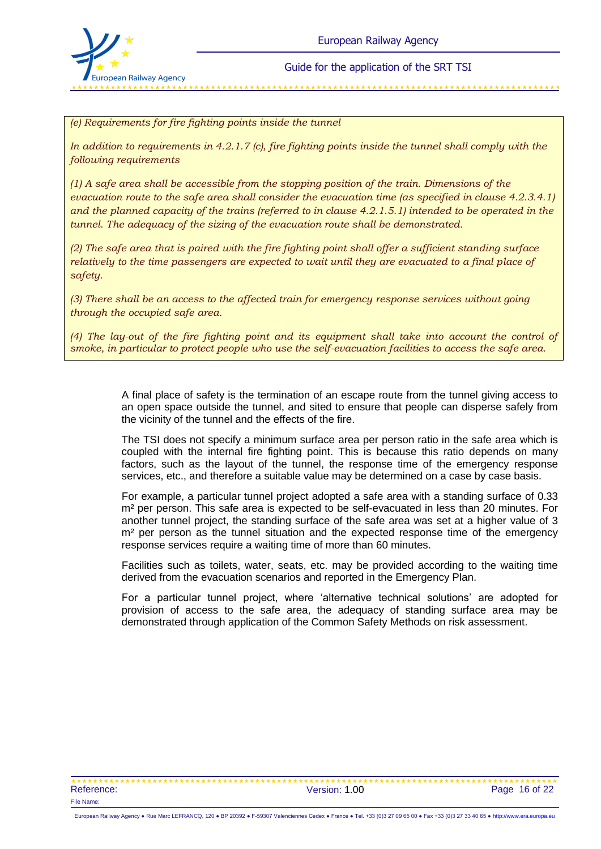

*(e) Requirements for fire fighting points inside the tunnel*

*In addition to requirements in 4.2.1.7 (c), fire fighting points inside the tunnel shall comply with the following requirements*

*(1) A safe area shall be accessible from the stopping position of the train. Dimensions of the evacuation route to the safe area shall consider the evacuation time (as specified in clause 4.2.3.4.1) and the planned capacity of the trains (referred to in clause 4.2.1.5.1) intended to be operated in the tunnel. The adequacy of the sizing of the evacuation route shall be demonstrated.*

*(2) The safe area that is paired with the fire fighting point shall offer a sufficient standing surface relatively to the time passengers are expected to wait until they are evacuated to a final place of safety.*

*(3) There shall be an access to the affected train for emergency response services without going through the occupied safe area.*

*(4) The lay-out of the fire fighting point and its equipment shall take into account the control of smoke, in particular to protect people who use the self-evacuation facilities to access the safe area.*

> A final place of safety is the termination of an escape route from the tunnel giving access to an open space outside the tunnel, and sited to ensure that people can disperse safely from the vicinity of the tunnel and the effects of the fire.

> The TSI does not specify a minimum surface area per person ratio in the safe area which is coupled with the internal fire fighting point. This is because this ratio depends on many factors, such as the layout of the tunnel, the response time of the emergency response services, etc., and therefore a suitable value may be determined on a case by case basis.

> For example, a particular tunnel project adopted a safe area with a standing surface of 0.33 m² per person. This safe area is expected to be self-evacuated in less than 20 minutes. For another tunnel project, the standing surface of the safe area was set at a higher value of 3 m<sup>2</sup> per person as the tunnel situation and the expected response time of the emergency response services require a waiting time of more than 60 minutes.

> Facilities such as toilets, water, seats, etc. may be provided according to the waiting time derived from the evacuation scenarios and reported in the Emergency Plan.

> For a particular tunnel project, where 'alternative technical solutions' are adopted for provision of access to the safe area, the adequacy of standing surface area may be demonstrated through application of the Common Safety Methods on risk assessment.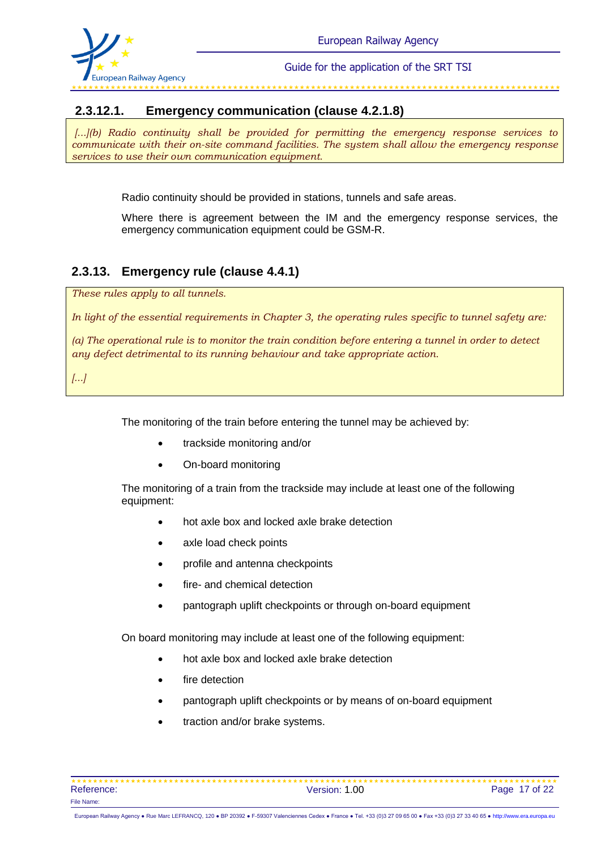

#### 

## **2.3.12.1. Emergency communication (clause 4.2.1.8)**

*[...](b) Radio continuity shall be provided for permitting the emergency response services to communicate with their on-site command facilities. The system shall allow the emergency response services to use their own communication equipment.*

Radio continuity should be provided in stations, tunnels and safe areas.

Where there is agreement between the IM and the emergency response services, the emergency communication equipment could be GSM-R.

## **2.3.13. Emergency rule (clause 4.4.1)**

*These rules apply to all tunnels.*

*In light of the essential requirements in Chapter 3, the operating rules specific to tunnel safety are:*

*(a) The operational rule is to monitor the train condition before entering a tunnel in order to detect any defect detrimental to its running behaviour and take appropriate action.* 

*[...]*

The monitoring of the train before entering the tunnel may be achieved by:

- trackside monitoring and/or
- On-board monitoring

The monitoring of a train from the trackside may include at least one of the following equipment:

- hot axle box and locked axle brake detection
- axle load check points
- profile and antenna checkpoints
- fire- and chemical detection
- pantograph uplift checkpoints or through on-board equipment

On board monitoring may include at least one of the following equipment:

- hot axle box and locked axle brake detection
- fire detection
- pantograph uplift checkpoints or by means of on-board equipment
- traction and/or brake systems.

| Reference: | Version: 1.00 | Page 17 of 22 |
|------------|---------------|---------------|
| File Name: |               |               |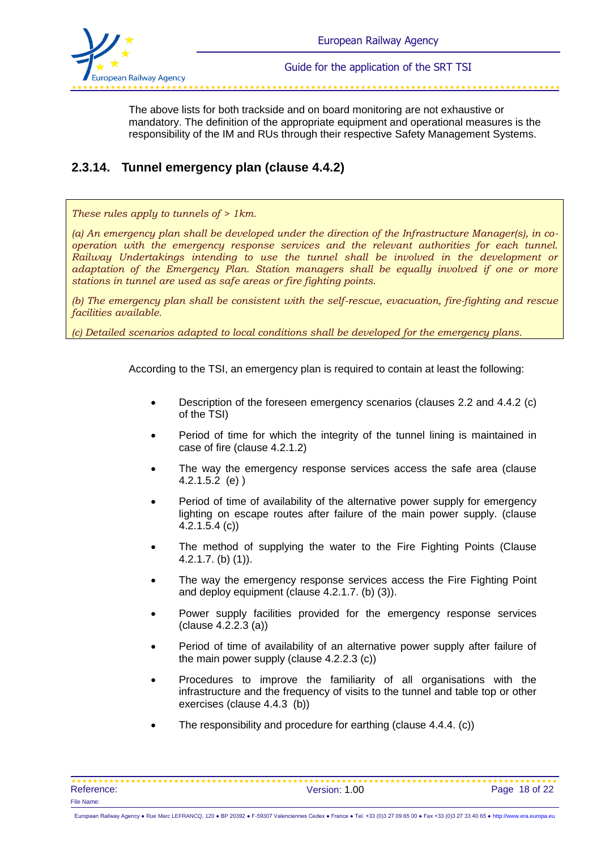

The above lists for both trackside and on board monitoring are not exhaustive or mandatory. The definition of the appropriate equipment and operational measures is the responsibility of the IM and RUs through their respective Safety Management Systems.

## **2.3.14. Tunnel emergency plan (clause 4.4.2)**

*These rules apply to tunnels of > 1km.*

*(a) An emergency plan shall be developed under the direction of the Infrastructure Manager(s), in cooperation with the emergency response services and the relevant authorities for each tunnel. Railway Undertakings intending to use the tunnel shall be involved in the development or adaptation of the Emergency Plan. Station managers shall be equally involved if one or more stations in tunnel are used as safe areas or fire fighting points.*

*(b) The emergency plan shall be consistent with the self-rescue, evacuation, fire-fighting and rescue facilities available.*

*(c) Detailed scenarios adapted to local conditions shall be developed for the emergency plans.* 

According to the TSI, an emergency plan is required to contain at least the following:

- Description of the foreseen emergency scenarios (clauses 2.2 and 4.4.2 (c) of the TSI)
- Period of time for which the integrity of the tunnel lining is maintained in case of fire (clause 4.2.1.2)
- The way the emergency response services access the safe area (clause 4.2.1.5.2 (e) )
- Period of time of availability of the alternative power supply for emergency lighting on escape routes after failure of the main power supply. (clause 4.2.1.5.4 (c))
- The method of supplying the water to the Fire Fighting Points (Clause 4.2.1.7. (b) (1)).
- The way the emergency response services access the Fire Fighting Point and deploy equipment (clause 4.2.1.7. (b) (3)).
- Power supply facilities provided for the emergency response services (clause 4.2.2.3 (a))
- Period of time of availability of an alternative power supply after failure of the main power supply (clause 4.2.2.3 (c))
- Procedures to improve the familiarity of all organisations with the infrastructure and the frequency of visits to the tunnel and table top or other exercises (clause 4.4.3 (b))
- The responsibility and procedure for earthing (clause 4.4.4. (c))

| Reference: | Version: 1.00 | Page 18 of 22 |
|------------|---------------|---------------|
| File Name: |               |               |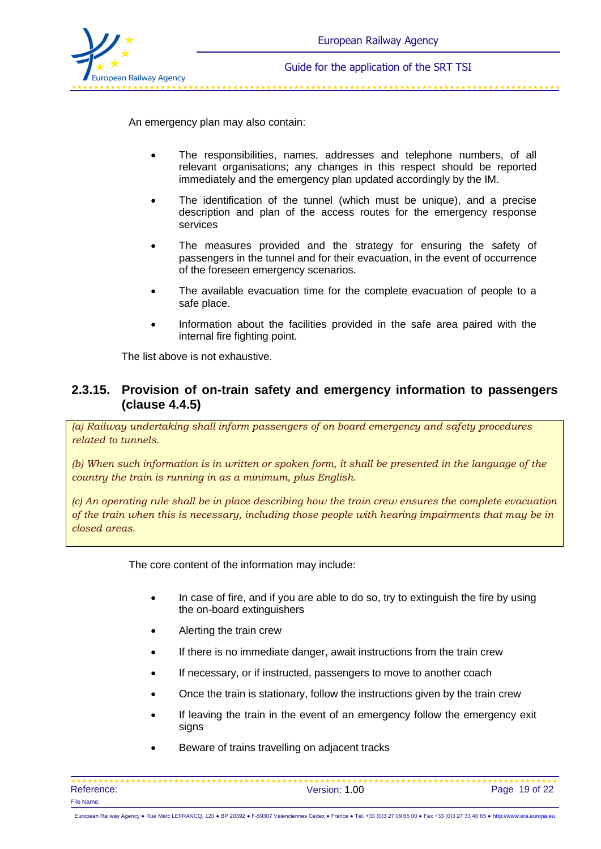

\*\*\*\*\*\*\*\*\*\*\*\*\*\*\*\*\*\*\*\*\*\*\*\*

An emergency plan may also contain:

- The responsibilities, names, addresses and telephone numbers, of all relevant organisations; any changes in this respect should be reported immediately and the emergency plan updated accordingly by the IM.
- The identification of the tunnel (which must be unique), and a precise description and plan of the access routes for the emergency response services
- The measures provided and the strategy for ensuring the safety of passengers in the tunnel and for their evacuation, in the event of occurrence of the foreseen emergency scenarios.
- The available evacuation time for the complete evacuation of people to a safe place.
- Information about the facilities provided in the safe area paired with the internal fire fighting point.

The list above is not exhaustive.

### **2.3.15. Provision of on-train safety and emergency information to passengers (clause 4.4.5)**

*(a) Railway undertaking shall inform passengers of on board emergency and safety procedures related to tunnels.* 

*(b) When such information is in written or spoken form, it shall be presented in the language of the country the train is running in as a minimum, plus English.*

*(c) An operating rule shall be in place describing how the train crew ensures the complete evacuation of the train when this is necessary, including those people with hearing impairments that may be in closed areas.*

The core content of the information may include:

- In case of fire, and if you are able to do so, try to extinguish the fire by using the on-board extinguishers
- Alerting the train crew
- If there is no immediate danger, await instructions from the train crew
- If necessary, or if instructed, passengers to move to another coach
- Once the train is stationary, follow the instructions given by the train crew
- If leaving the train in the event of an emergency follow the emergency exit signs
- Beware of trains travelling on adjacent tracks

| Reference: | Version: 1.00 | Page 19 of 22 |
|------------|---------------|---------------|
| File Name: |               |               |

European Railway Agency ● Rue Marc LEFRANCQ, 120 ● BP 20392 ● F-59307 Valenciennes Cedex ● France ● Tel. +33 (0)3 27 09 65 00 ● Fax +33 (0)3 27 33 40 65 ● [http://www.era.europa.eu](http://www.era.europa.eu/)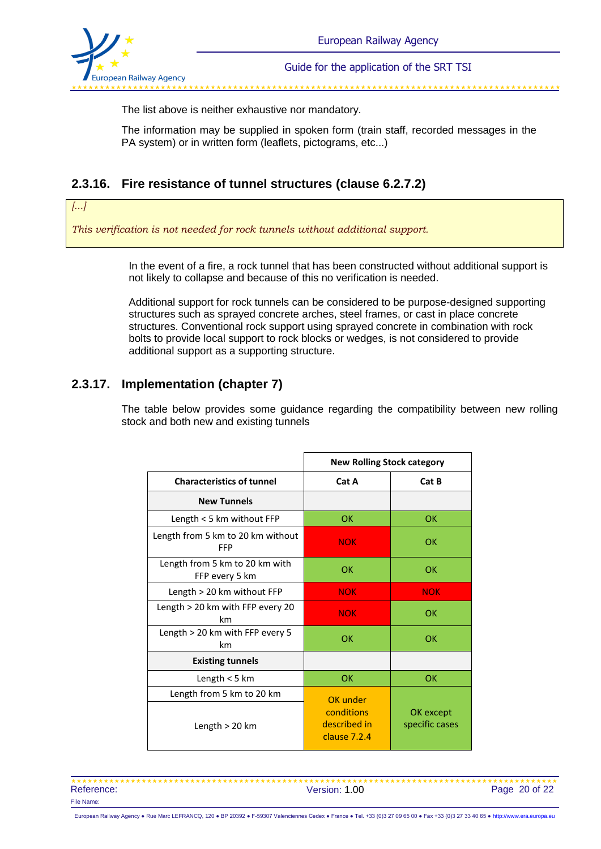

\*\*\*\*\*\*\*\*\*\*\*\*\*\*\*\*\*\*\*\*\*\*\*\*\*\*\*

The list above is neither exhaustive nor mandatory.

The information may be supplied in spoken form (train staff, recorded messages in the PA system) or in written form (leaflets, pictograms, etc...)

## **2.3.16. Fire resistance of tunnel structures (clause 6.2.7.2)**

#### *[...]*

*This verification is not needed for rock tunnels without additional support.*

In the event of a fire, a rock tunnel that has been constructed without additional support is not likely to collapse and because of this no verification is needed.

Additional support for rock tunnels can be considered to be purpose-designed supporting structures such as sprayed concrete arches, steel frames, or cast in place concrete structures. Conventional rock support using sprayed concrete in combination with rock bolts to provide local support to rock blocks or wedges, is not considered to provide additional support as a supporting structure.

## **2.3.17. Implementation (chapter 7)**

The table below provides some guidance regarding the compatibility between new rolling stock and both new and existing tunnels

|                                                  | <b>New Rolling Stock category</b>            |                             |  |
|--------------------------------------------------|----------------------------------------------|-----------------------------|--|
| <b>Characteristics of tunnel</b>                 | Cat A                                        | Cat B                       |  |
| <b>New Tunnels</b>                               |                                              |                             |  |
| Length $<$ 5 km without FFP                      | OK                                           | OK                          |  |
| Length from 5 km to 20 km without<br><b>FFP</b>  | <b>NOK</b>                                   | OK                          |  |
| Length from 5 km to 20 km with<br>FFP every 5 km | OK                                           | OK                          |  |
| Length > 20 km without FFP                       | <b>NOK</b>                                   | <b>NOK</b>                  |  |
| Length > 20 km with FFP every 20<br>km           | <b>NOK</b>                                   | OK                          |  |
| Length $> 20$ km with FFP every 5<br>km          | OK                                           | OK                          |  |
| <b>Existing tunnels</b>                          |                                              |                             |  |
| Length $<$ 5 km                                  | OK                                           | OK                          |  |
| Length from 5 km to 20 km                        | OK under                                     |                             |  |
| Length $>$ 20 km                                 | conditions<br>described in<br>clause $7.2.4$ | OK except<br>specific cases |  |

| Reference: | Version: 1.00 | Page 20 of 22 |
|------------|---------------|---------------|
| File Name: |               |               |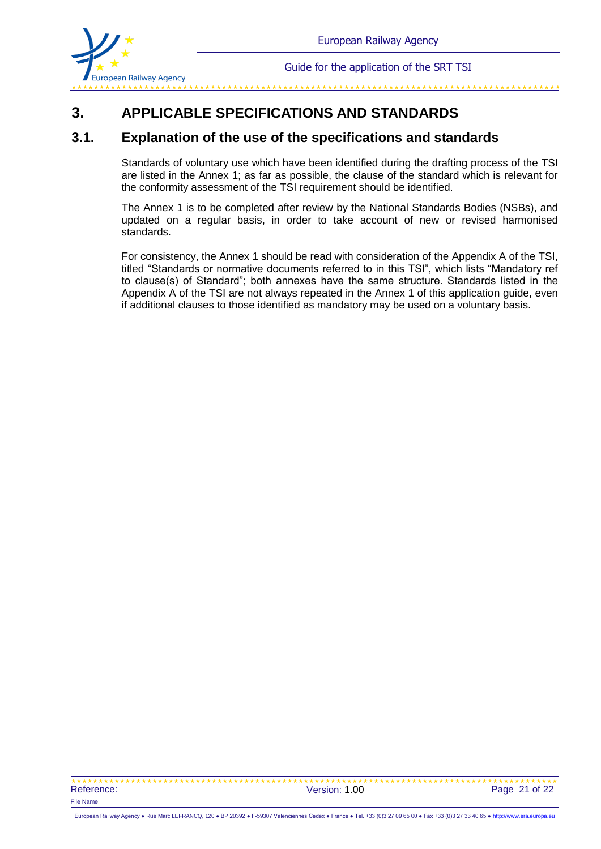

#### 

## **3. APPLICABLE SPECIFICATIONS AND STANDARDS**

## **3.1. Explanation of the use of the specifications and standards**

Standards of voluntary use which have been identified during the drafting process of the TSI are listed in the Annex 1; as far as possible, the clause of the standard which is relevant for the conformity assessment of the TSI requirement should be identified.

The Annex 1 is to be completed after review by the National Standards Bodies (NSBs), and updated on a regular basis, in order to take account of new or revised harmonised standards.

For consistency, the Annex 1 should be read with consideration of the Appendix A of the TSI, titled "Standards or normative documents referred to in this TSI", which lists "Mandatory ref to clause(s) of Standard"; both annexes have the same structure. Standards listed in the Appendix A of the TSI are not always repeated in the Annex 1 of this application guide, even if additional clauses to those identified as mandatory may be used on a voluntary basis.